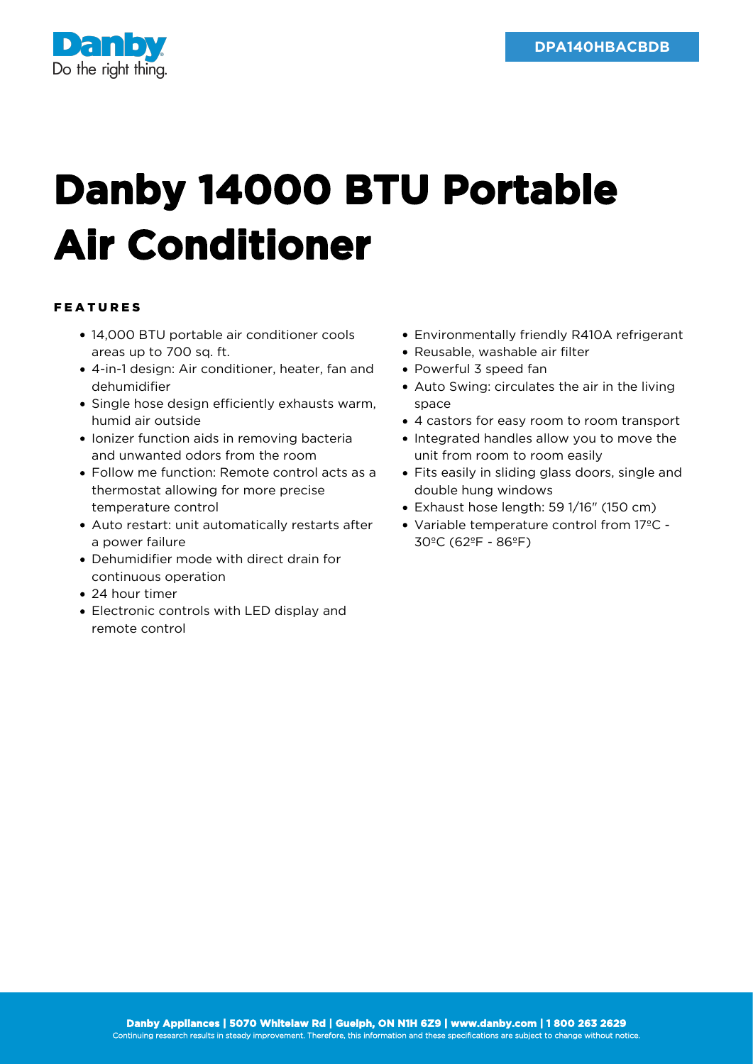

## **Danby 14000 BTU Portable Air Conditioner**

## FEATURES

- 14,000 BTU portable air conditioner cools areas up to 700 sq. ft.
- 4-in-1 design: Air conditioner, heater, fan and dehumidifier
- Single hose design efficiently exhausts warm, humid air outside
- **·** Ionizer function aids in removing bacteria and unwanted odors from the room
- Follow me function: Remote control acts as a thermostat allowing for more precise temperature control
- Auto restart: unit automatically restarts after a power failure
- Dehumidifier mode with direct drain for continuous operation
- 24 hour timer
- Electronic controls with LED display and remote control
- Environmentally friendly R410A refrigerant
- Reusable, washable air filter
- Powerful 3 speed fan
- Auto Swing: circulates the air in the living space
- 4 castors for easy room to room transport
- Integrated handles allow you to move the unit from room to room easily
- Fits easily in sliding glass doors, single and double hung windows
- $\bullet$  Exhaust hose length: 59  $1/16$ " (150 cm)
- Variable temperature control from 17ºC 30ºC (62ºF - 86ºF)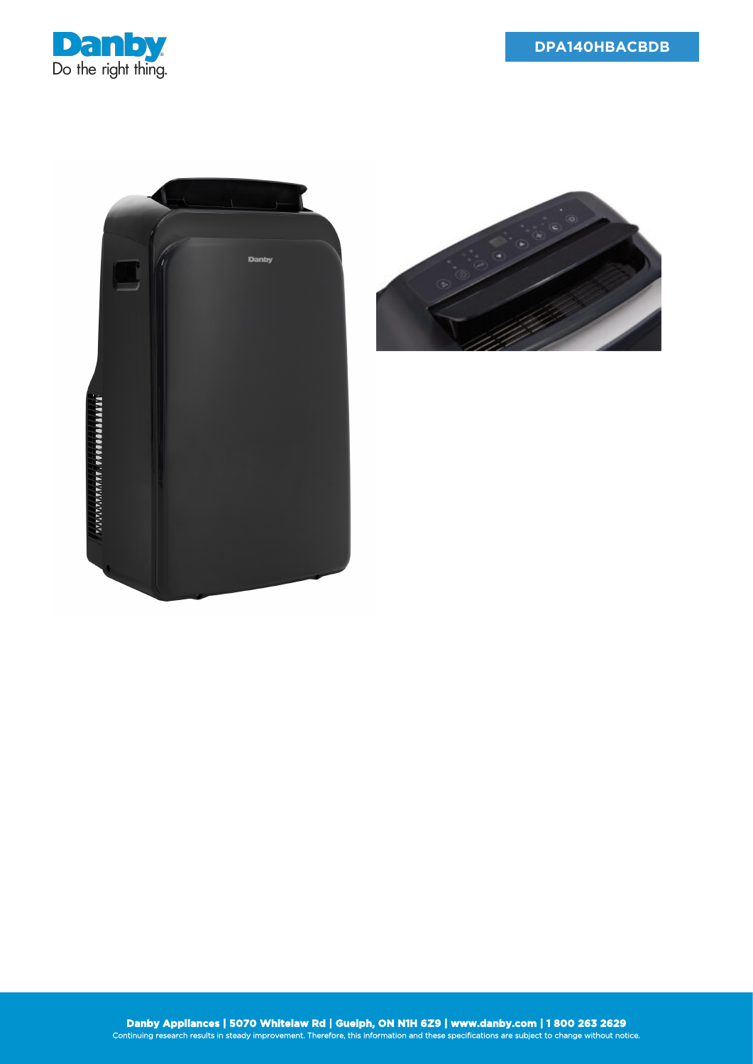